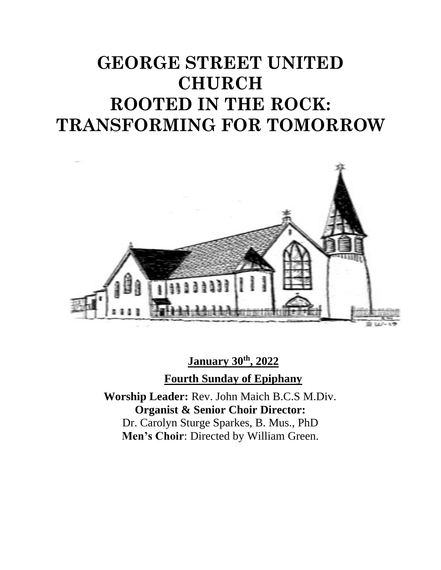# **GEORGE STREET UNITED CHURCH ROOTED IN THE ROCK: TRANSFORMING FOR TOMORROW**



**January 30th, 2022 Fourth Sunday of Epiphany**

**Worship Leader:** Rev. John Maich B.C.S M.Div. **Organist & Senior Choir Director:**  Dr. Carolyn Sturge Sparkes, B. Mus., PhD **Men's Choir**: Directed by William Green.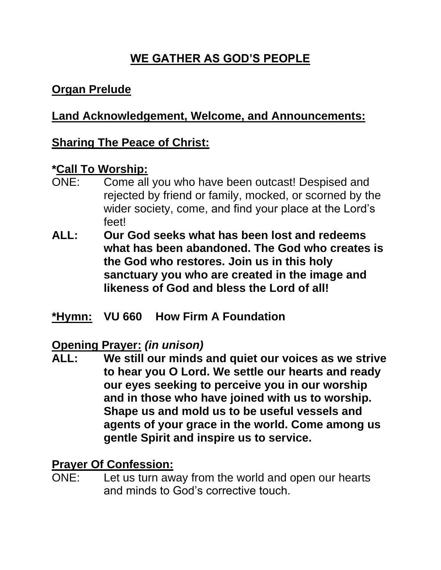# **WE GATHER AS GOD'S PEOPLE**

#### **Organ Prelude**

#### **Land Acknowledgement, Welcome, and Announcements:**

#### **Sharing The Peace of Christ:**

#### **\*Call To Worship:**

- ONE: Come all you who have been outcast! Despised and rejected by friend or family, mocked, or scorned by the wider society, come, and find your place at the Lord's feet!
- **ALL: Our God seeks what has been lost and redeems what has been abandoned. The God who creates is the God who restores. Join us in this holy sanctuary you who are created in the image and likeness of God and bless the Lord of all!**
- **\*Hymn: VU 660 How Firm A Foundation**

#### **Opening Prayer:** *(in unison)*

**ALL: We still our minds and quiet our voices as we strive to hear you O Lord. We settle our hearts and ready our eyes seeking to perceive you in our worship and in those who have joined with us to worship. Shape us and mold us to be useful vessels and agents of your grace in the world. Come among us gentle Spirit and inspire us to service.**

#### **Prayer Of Confession:**

ONE: Let us turn away from the world and open our hearts and minds to God's corrective touch.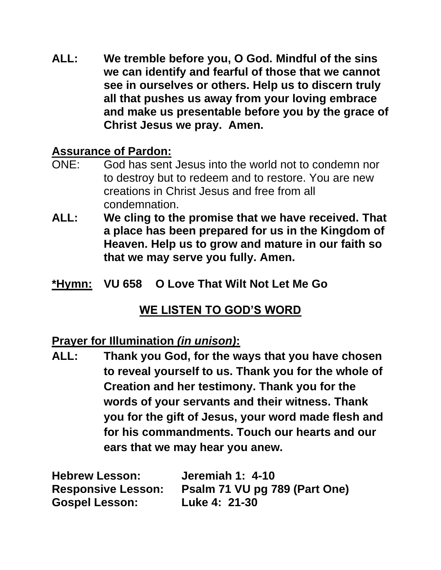**ALL: We tremble before you, O God. Mindful of the sins we can identify and fearful of those that we cannot see in ourselves or others. Help us to discern truly all that pushes us away from your loving embrace and make us presentable before you by the grace of Christ Jesus we pray. Amen.**

#### **Assurance of Pardon:**

- ONE: God has sent Jesus into the world not to condemn nor to destroy but to redeem and to restore. You are new creations in Christ Jesus and free from all condemnation.
- **ALL: We cling to the promise that we have received. That a place has been prepared for us in the Kingdom of Heaven. Help us to grow and mature in our faith so that we may serve you fully. Amen.**
- **\*Hymn: VU 658 O Love That Wilt Not Let Me Go**

## **WE LISTEN TO GOD'S WORD**

#### **Prayer for Illumination** *(in unison)***:**

**ALL: Thank you God, for the ways that you have chosen to reveal yourself to us. Thank you for the whole of Creation and her testimony. Thank you for the words of your servants and their witness. Thank you for the gift of Jesus, your word made flesh and for his commandments. Touch our hearts and our ears that we may hear you anew.**

| <b>Hebrew Lesson:</b>     | <b>Jeremiah 1: 4-10</b>       |
|---------------------------|-------------------------------|
| <b>Responsive Lesson:</b> | Psalm 71 VU pg 789 (Part One) |
| <b>Gospel Lesson:</b>     | Luke 4: 21-30                 |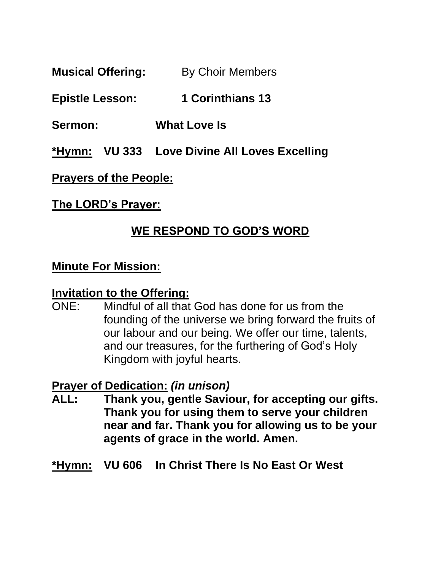**Musical Offering:** By Choir Members

#### **Epistle Lesson: 1 Corinthians 13**

**Sermon: What Love Is**

**\*Hymn: VU 333 Love Divine All Loves Excelling**

#### **Prayers of the People:**

#### **The LORD's Prayer:**

#### **WE RESPOND TO GOD'S WORD**

#### **Minute For Mission:**

#### **Invitation to the Offering:**

ONE: Mindful of all that God has done for us from the founding of the universe we bring forward the fruits of our labour and our being. We offer our time, talents, and our treasures, for the furthering of God's Holy Kingdom with joyful hearts.

#### **Prayer of Dedication:** *(in unison)*

- **ALL: Thank you, gentle Saviour, for accepting our gifts. Thank you for using them to serve your children near and far. Thank you for allowing us to be your agents of grace in the world. Amen.**
- **\*Hymn: VU 606 In Christ There Is No East Or West**